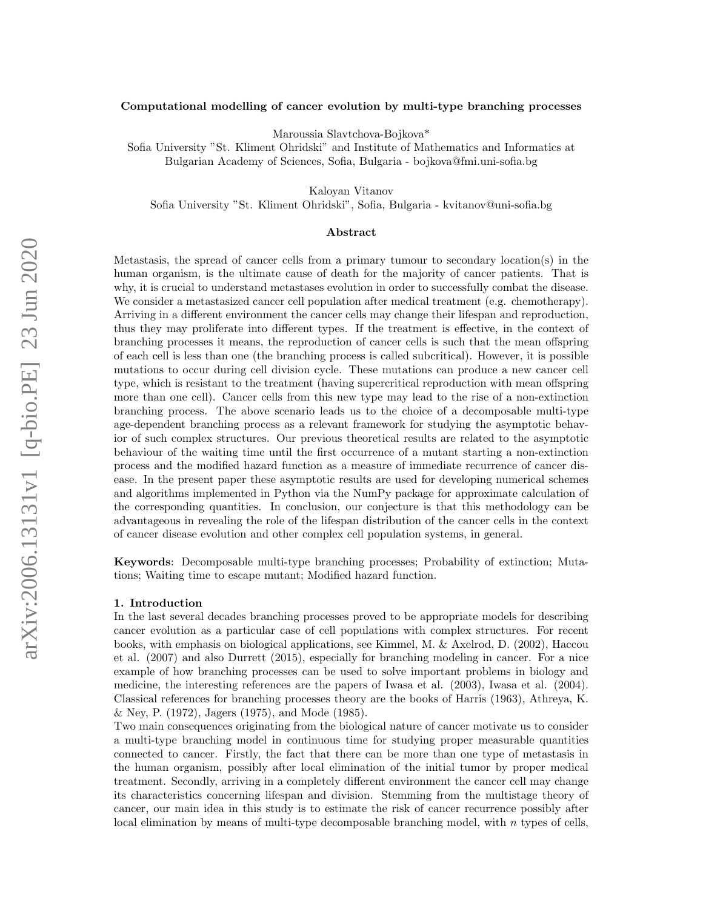# arXiv:2006.13131v1 [q-bio.PE] 23 Jun 2020 arXiv:2006.13131v1 [q-bio.PE] 23 Jun 2020

# Computational modelling of cancer evolution by multi-type branching processes

Maroussia Slavtchova-Bojkova\*

Sofia University "St. Kliment Ohridski" and Institute of Mathematics and Informatics at Bulgarian Academy of Sciences, Sofia, Bulgaria - bojkova@fmi.uni-sofia.bg

Kaloyan Vitanov

Sofia University "St. Kliment Ohridski", Sofia, Bulgaria - kvitanov@uni-sofia.bg

# Abstract

Metastasis, the spread of cancer cells from a primary tumour to secondary location(s) in the human organism, is the ultimate cause of death for the majority of cancer patients. That is why, it is crucial to understand metastases evolution in order to successfully combat the disease. We consider a metastasized cancer cell population after medical treatment (e.g. chemotherapy). Arriving in a different environment the cancer cells may change their lifespan and reproduction, thus they may proliferate into different types. If the treatment is effective, in the context of branching processes it means, the reproduction of cancer cells is such that the mean offspring of each cell is less than one (the branching process is called subcritical). However, it is possible mutations to occur during cell division cycle. These mutations can produce a new cancer cell type, which is resistant to the treatment (having supercritical reproduction with mean offspring more than one cell). Cancer cells from this new type may lead to the rise of a non-extinction branching process. The above scenario leads us to the choice of a decomposable multi-type age-dependent branching process as a relevant framework for studying the asymptotic behavior of such complex structures. Our previous theoretical results are related to the asymptotic behaviour of the waiting time until the first occurrence of a mutant starting a non-extinction process and the modified hazard function as a measure of immediate recurrence of cancer disease. In the present paper these asymptotic results are used for developing numerical schemes and algorithms implemented in Python via the NumPy package for approximate calculation of the corresponding quantities. In conclusion, our conjecture is that this methodology can be advantageous in revealing the role of the lifespan distribution of the cancer cells in the context of cancer disease evolution and other complex cell population systems, in general.

Keywords: Decomposable multi-type branching processes; Probability of extinction; Mutations; Waiting time to escape mutant; Modified hazard function.

### 1. Introduction

In the last several decades branching processes proved to be appropriate models for describing cancer evolution as a particular case of cell populations with complex structures. For recent books, with emphasis on biological applications, see Kimmel, M. & Axelrod, D. (2002), Haccou et al. (2007) and also Durrett (2015), especially for branching modeling in cancer. For a nice example of how branching processes can be used to solve important problems in biology and medicine, the interesting references are the papers of Iwasa et al. (2003), Iwasa et al. (2004). Classical references for branching processes theory are the books of Harris (1963), Athreya, K. & Ney, P. (1972), Jagers (1975), and Mode (1985).

Two main consequences originating from the biological nature of cancer motivate us to consider a multi-type branching model in continuous time for studying proper measurable quantities connected to cancer. Firstly, the fact that there can be more than one type of metastasis in the human organism, possibly after local elimination of the initial tumor by proper medical treatment. Secondly, arriving in a completely different environment the cancer cell may change its characteristics concerning lifespan and division. Stemming from the multistage theory of cancer, our main idea in this study is to estimate the risk of cancer recurrence possibly after local elimination by means of multi-type decomposable branching model, with  $n$  types of cells,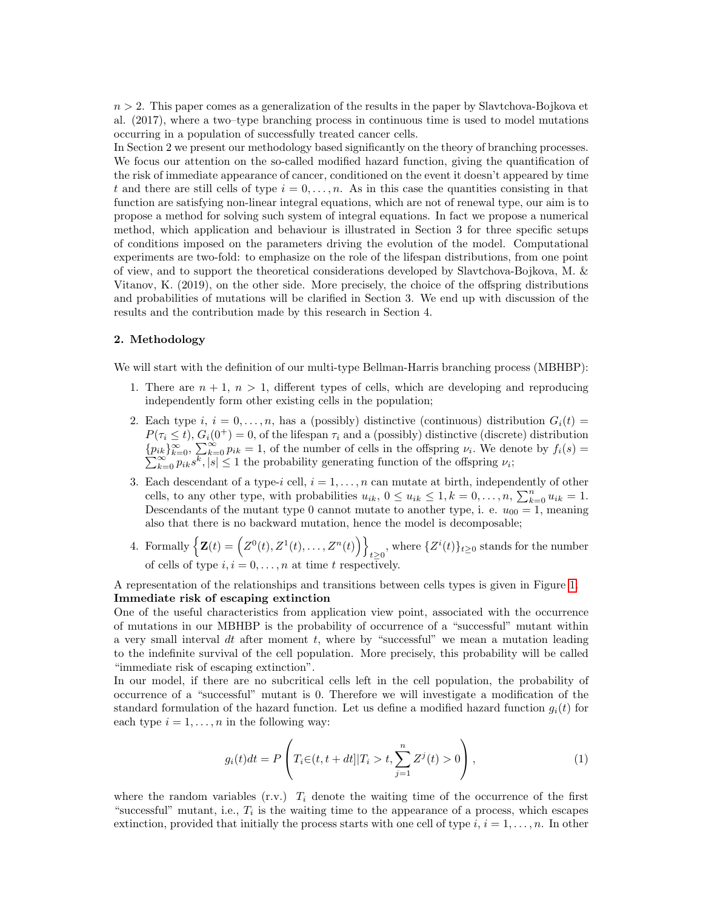$n > 2$ . This paper comes as a generalization of the results in the paper by Slavtchova-Bojkova et al. (2017), where a two–type branching process in continuous time is used to model mutations occurring in a population of successfully treated cancer cells.

In Section 2 we present our methodology based significantly on the theory of branching processes. We focus our attention on the so-called modified hazard function, giving the quantification of the risk of immediate appearance of cancer, conditioned on the event it doesn't appeared by time t and there are still cells of type  $i = 0, \ldots, n$ . As in this case the quantities consisting in that function are satisfying non-linear integral equations, which are not of renewal type, our aim is to propose a method for solving such system of integral equations. In fact we propose a numerical method, which application and behaviour is illustrated in Section 3 for three specific setups of conditions imposed on the parameters driving the evolution of the model. Computational experiments are two-fold: to emphasize on the role of the lifespan distributions, from one point of view, and to support the theoretical considerations developed by Slavtchova-Bojkova, M. & Vitanov, K. (2019), on the other side. More precisely, the choice of the offspring distributions and probabilities of mutations will be clarified in Section 3. We end up with discussion of the results and the contribution made by this research in Section 4.

# 2. Methodology

We will start with the definition of our multi-type Bellman-Harris branching process (MBHBP):

- 1. There are  $n + 1$ ,  $n > 1$ , different types of cells, which are developing and reproducing independently form other existing cells in the population;
- 2. Each type i,  $i = 0, \ldots, n$ , has a (possibly) distinctive (continuous) distribution  $G_i(t)$  $P(\tau_i \le t)$ ,  $G_i(0^+) = 0$ , of the lifespan  $\tau_i$  and a (possibly) distinctive (discrete) distribution  ${p_{ik}}_{k=0}^{\infty}, \sum_{k=0}^{\infty} p_{ik} = 1$ , of the number of cells in the offspring  $\nu_i$ . We denote by  $f_i(s) = \sum_{k=0}^{\infty} p_{ik} s^k, |s| \leq 1$  the probability generating function of the offspring  $\nu_i$ ;
- 3. Each descendant of a type-i cell,  $i = 1, \ldots, n$  can mutate at birth, independently of other cells, to any other type, with probabilities  $u_{ik}$ ,  $0 \le u_{ik} \le 1$ ,  $k = 0, \ldots, n$ ,  $\sum_{k=0}^{n} u_{ik} = 1$ . Descendants of the mutant type 0 cannot mutate to another type, i. e.  $u_{00} = 1$ , meaning also that there is no backward mutation, hence the model is decomposable;
- 4. Formally  $\{Z(t) = (Z^0(t), Z^1(t), \ldots, Z^n(t))\}$  $t \geq 0$ , where  $\{Z^{i}(t)\}_{t \geq 0}$  stands for the number of cells of type  $i, i = 0, \ldots, n$  at time t respectively.

A representation of the relationships and transitions between cells types is given in Figure [1.](#page-2-0) Immediate risk of escaping extinction

One of the useful characteristics from application view point, associated with the occurrence of mutations in our MBHBP is the probability of occurrence of a "successful" mutant within a very small interval dt after moment t, where by "successful" we mean a mutation leading to the indefinite survival of the cell population. More precisely, this probability will be called "immediate risk of escaping extinction".

In our model, if there are no subcritical cells left in the cell population, the probability of occurrence of a "successful" mutant is 0. Therefore we will investigate a modification of the standard formulation of the hazard function. Let us define a modified hazard function  $q_i(t)$  for each type  $i = 1, \ldots, n$  in the following way:

<span id="page-1-0"></span>
$$
g_i(t)dt = P\left(T_i \in (t, t + dt]|T_i > t, \sum_{j=1}^n Z^j(t) > 0\right),\tag{1}
$$

where the random variables (r.v.)  $T_i$  denote the waiting time of the occurrence of the first "successful" mutant, i.e.,  $T_i$  is the waiting time to the appearance of a process, which escapes extinction, provided that initially the process starts with one cell of type  $i, i = 1, \ldots, n$ . In other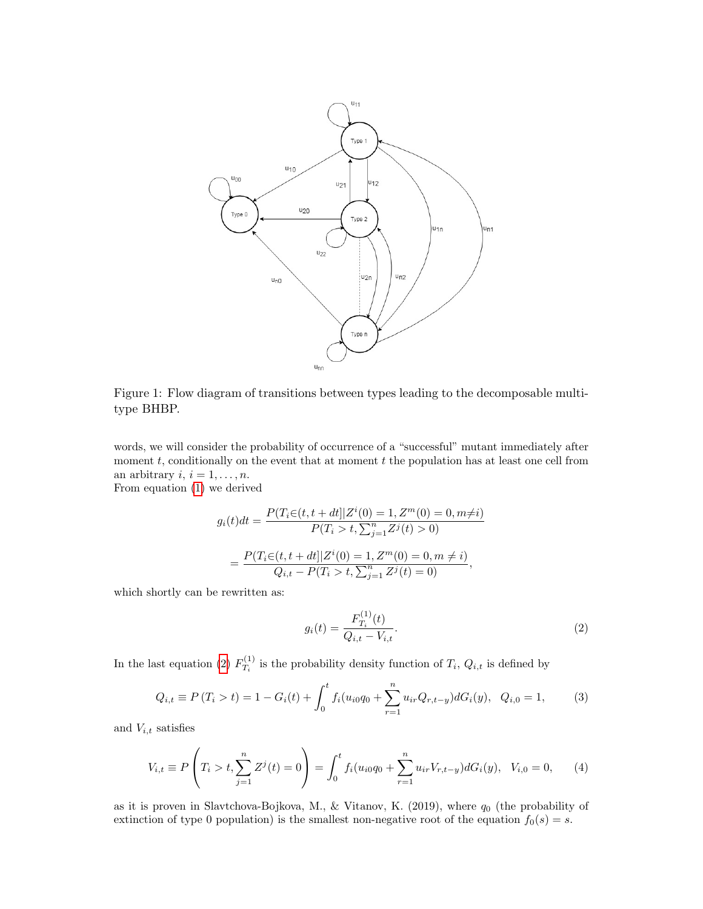

<span id="page-2-0"></span>Figure 1: Flow diagram of transitions between types leading to the decomposable multitype BHBP.

words, we will consider the probability of occurrence of a "successful" mutant immediately after moment  $t$ , conditionally on the event that at moment  $t$  the population has at least one cell from an arbitrary  $i, i = 1, \ldots, n$ . From equation [\(1\)](#page-1-0) we derived

$$
g_i(t)dt = \frac{P(T_i \in (t, t + dt] | Z^i(0) = 1, Z^m(0) = 0, m \neq i)}{P(T_i > t, \sum_{j=1}^n Z^j(t) > 0)}
$$
  
= 
$$
\frac{P(T_i \in (t, t + dt] | Z^i(0) = 1, Z^m(0) = 0, m \neq i)}{Q_{i,t} - P(T_i > t, \sum_{j=1}^n Z^j(t) = 0)},
$$

which shortly can be rewritten as:

<span id="page-2-1"></span>
$$
g_i(t) = \frac{F_{T_i}^{(1)}(t)}{Q_{i,t} - V_{i,t}}.\tag{2}
$$

In the last equation [\(2\)](#page-2-1)  $F_T^{(1)}$  $T_i^{(1)}$  is the probability density function of  $T_i$ ,  $Q_{i,t}$  is defined by

<span id="page-2-2"></span>
$$
Q_{i,t} \equiv P(T_i > t) = 1 - G_i(t) + \int_0^t f_i(u_{i0}q_0 + \sum_{r=1}^n u_{ir}Q_{r,t-y})dG_i(y), \quad Q_{i,0} = 1,
$$
 (3)

and  $V_{i,t}$  satisfies

<span id="page-2-3"></span>
$$
V_{i,t} \equiv P\left(T_i > t, \sum_{j=1}^n Z^j(t) = 0\right) = \int_0^t f_i(u_{i0}q_0 + \sum_{r=1}^n u_{ir} V_{r,t-y}) dG_i(y), \quad V_{i,0} = 0,\tag{4}
$$

as it is proven in Slavtchova-Bojkova, M., & Vitanov, K. (2019), where  $q_0$  (the probability of extinction of type 0 population) is the smallest non-negative root of the equation  $f_0(s) = s$ .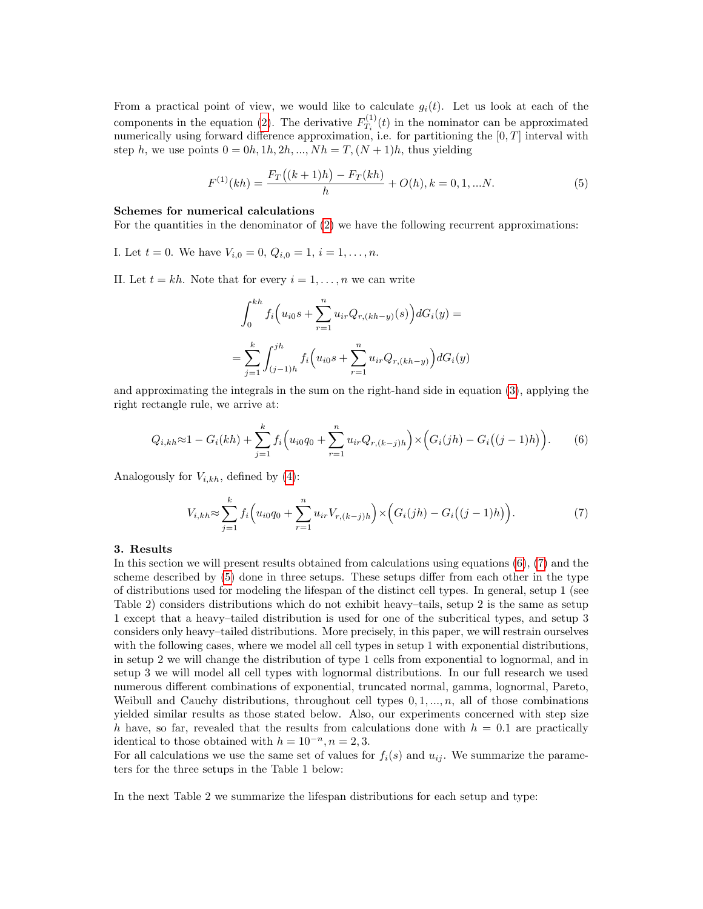From a practical point of view, we would like to calculate  $g_i(t)$ . Let us look at each of the components in the equation [\(2\)](#page-2-1). The derivative  $F_T^{(1)}$  $T_i^{(1)}(t)$  in the nominator can be approximated numerically using forward difference approximation, i.e. for partitioning the  $[0, T]$  interval with step h, we use points  $0 = 0h, 1h, 2h, ..., Nh = T, (N + 1)h$ , thus yielding

<span id="page-3-2"></span>
$$
F^{(1)}(kh) = \frac{F_T((k+1)h) - F_T(kh)}{h} + O(h), k = 0, 1, ...N.
$$
 (5)

### Schemes for numerical calculations

For the quantities in the denominator of  $(2)$  we have the following recurrent approximations:

I. Let  $t = 0$ . We have  $V_{i,0} = 0$ ,  $Q_{i,0} = 1$ ,  $i = 1, \ldots, n$ .

II. Let  $t = kh$ . Note that for every  $i = 1, \ldots, n$  we can write

$$
\int_0^{kh} f_i\Big(u_{i0}s + \sum_{r=1}^n u_{ir}Q_{r,(kh-y)}(s)\Big)dG_i(y) =
$$
  
= 
$$
\sum_{j=1}^k \int_{(j-1)h}^{jh} f_i\Big(u_{i0}s + \sum_{r=1}^n u_{ir}Q_{r,(kh-y)}\Big)dG_i(y)
$$

and approximating the integrals in the sum on the right-hand side in equation [\(3\)](#page-2-2), applying the right rectangle rule, we arrive at:

<span id="page-3-0"></span>
$$
Q_{i,kh} \approx 1 - G_i(kh) + \sum_{j=1}^k f_i \Big( u_{i0} q_0 + \sum_{r=1}^n u_{ir} Q_{r,(k-j)h} \Big) \times \Big( G_i(jh) - G_i \big( (j-1)h \big) \Big). \tag{6}
$$

Analogously for  $V_{i,kh}$ , defined by [\(4\)](#page-2-3):

<span id="page-3-1"></span>
$$
V_{i,kh} \approx \sum_{j=1}^{k} f_i \left( u_{i0} q_0 + \sum_{r=1}^{n} u_{ir} V_{r,(k-j)h} \right) \times \left( G_i(jh) - G_i \left( (j-1)h \right) \right). \tag{7}
$$

# 3. Results

In this section we will present results obtained from calculations using equations  $(6)$ ,  $(7)$  and the scheme described by [\(5\)](#page-3-2) done in three setups. These setups differ from each other in the type of distributions used for modeling the lifespan of the distinct cell types. In general, setup 1 (see Table 2) considers distributions which do not exhibit heavy–tails, setup 2 is the same as setup 1 except that a heavy–tailed distribution is used for one of the subcritical types, and setup 3 considers only heavy–tailed distributions. More precisely, in this paper, we will restrain ourselves with the following cases, where we model all cell types in setup 1 with exponential distributions, in setup 2 we will change the distribution of type 1 cells from exponential to lognormal, and in setup 3 we will model all cell types with lognormal distributions. In our full research we used numerous different combinations of exponential, truncated normal, gamma, lognormal, Pareto, Weibull and Cauchy distributions, throughout cell types  $0, 1, \ldots, n$ , all of those combinations yielded similar results as those stated below. Also, our experiments concerned with step size h have, so far, revealed that the results from calculations done with  $h = 0.1$  are practically identical to those obtained with  $h = 10^{-n}$ ,  $n = 2, 3$ .

For all calculations we use the same set of values for  $f_i(s)$  and  $u_{ij}$ . We summarize the parameters for the three setups in the Table 1 below:

In the next Table 2 we summarize the lifespan distributions for each setup and type: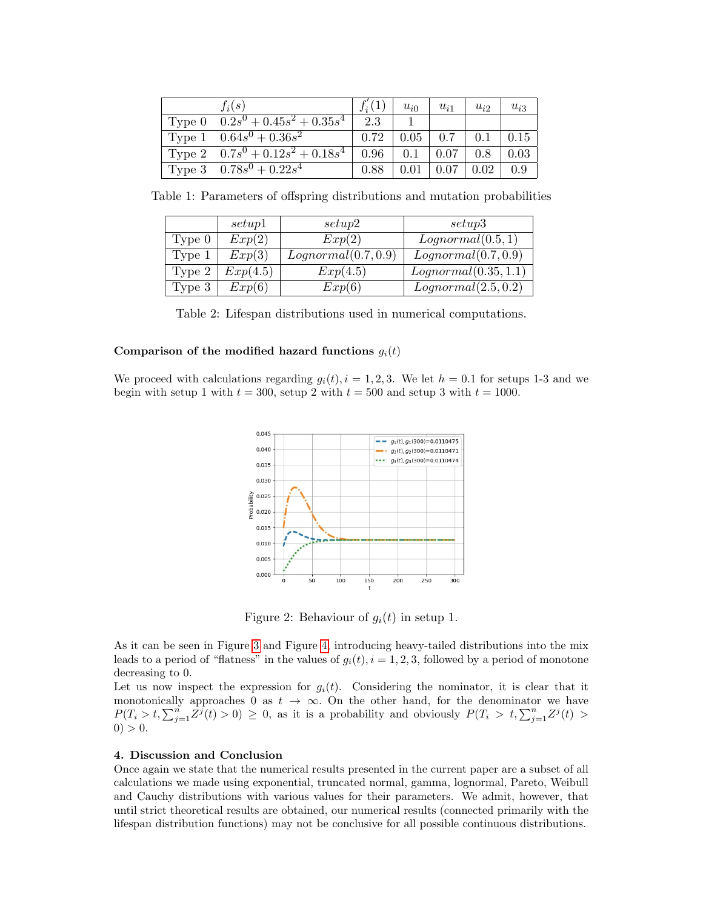| $f_i(s)$                                  |          | $u_{i0}$ | $u_{i1}$ | $u_{i2}$ | $u_{i3}$ |
|-------------------------------------------|----------|----------|----------|----------|----------|
| Type $0 \quad 0.2s^0 + 0.45s^2 + 0.35s^4$ | 2.3      |          |          |          |          |
| Type 1 $0.64s^0 + 0.36s^2$                | $0.72\,$ | 0.05     | 0.7      | 0.1      | 0.15     |
| Type 2 $0.7s^0 + 0.12s^2 + 0.18s^4$       | 0.96     | 0.1      | 0.07     | 0.8      | 0.03     |
| Type 3 $0.78s^0 + 0.22s^4$                | 0.88     | 0.01     | 0.07     | 0.02     |          |

Table 1: Parameters of offspring distributions and mutation probabilities

|          | <i>setup</i> 1 | setup2              | setup3               |
|----------|----------------|---------------------|----------------------|
| Type 0   | Exp(2)         | Exp(2)              | Lognormal(0.5, 1)    |
| Type 1   | Exp(3)         | Lognormal(0.7, 0.9) | Lognormal(0.7, 0.9)  |
| Type 2   | Exp(4.5)       | Exp(4.5)            | Lognormal(0.35, 1.1) |
| Type $3$ | Exp(6)         | Exp(6)              | Lognormal(2.5, 0.2)  |

Table 2: Lifespan distributions used in numerical computations.

# Comparison of the modified hazard functions  $q_i(t)$

We proceed with calculations regarding  $g_i(t)$ ,  $i = 1, 2, 3$ . We let  $h = 0.1$  for setups 1-3 and we begin with setup 1 with  $t = 300$ , setup 2 with  $t = 500$  and setup 3 with  $t = 1000$ .



<span id="page-4-0"></span>Figure 2: Behaviour of  $g_i(t)$  in setup 1.

As it can be seen in Figure [3](#page-5-0) and Figure [4,](#page-5-1) introducing heavy-tailed distributions into the mix leads to a period of "flatness" in the values of  $g_i(t)$ ,  $i = 1, 2, 3$ , followed by a period of monotone decreasing to 0.

Let us now inspect the expression for  $g_i(t)$ . Considering the nominator, it is clear that it monotonically approaches 0 as  $t \to \infty$ . On the other hand, for the denominator we have  $P(T_i > t, \sum_{j=1}^n Z^{j}(t) > 0) \geq 0$ , as it is a probability and obviously  $P(T_i > t, \sum_{j=1}^n Z^{j}(t) > 0)$  $0) > 0.$ 

# 4. Discussion and Conclusion

Once again we state that the numerical results presented in the current paper are a subset of all calculations we made using exponential, truncated normal, gamma, lognormal, Pareto, Weibull and Cauchy distributions with various values for their parameters. We admit, however, that until strict theoretical results are obtained, our numerical results (connected primarily with the lifespan distribution functions) may not be conclusive for all possible continuous distributions.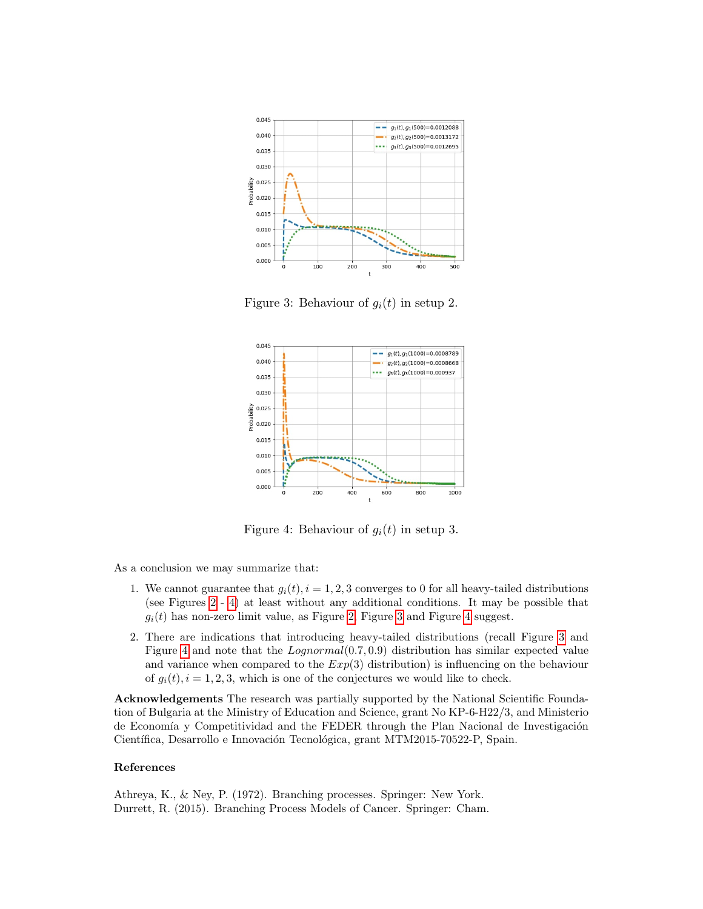

<span id="page-5-0"></span>Figure 3: Behaviour of  $g_i(t)$  in setup 2.



<span id="page-5-1"></span>Figure 4: Behaviour of  $g_i(t)$  in setup 3.

As a conclusion we may summarize that:

- 1. We cannot guarantee that  $q_i(t)$ ,  $i = 1, 2, 3$  converges to 0 for all heavy-tailed distributions (see Figures [2](#page-4-0) - [4\)](#page-5-1) at least without any additional conditions. It may be possible that  $g_i(t)$  has non-zero limit value, as Figure [2,](#page-4-0) Figure [3](#page-5-0) and Figure [4](#page-5-1) suggest.
- 2. There are indications that introducing heavy-tailed distributions (recall Figure [3](#page-5-0) and Figure [4](#page-5-1) and note that the  $Lognormal(0.7, 0.9)$  distribution has similar expected value and variance when compared to the  $Exp(3)$  distribution) is influencing on the behaviour of  $g_i(t)$ ,  $i = 1, 2, 3$ , which is one of the conjectures we would like to check.

Acknowledgements The research was partially supported by the National Scientific Foundation of Bulgaria at the Ministry of Education and Science, grant No KP-6-H22/3, and Ministerio de Economía y Competitividad and the FEDER through the Plan Nacional de Investigación Científica, Desarrollo e Innovación Tecnológica, grant MTM2015-70522-P, Spain.

# References

Athreya, K., & Ney, P. (1972). Branching processes. Springer: New York. Durrett, R. (2015). Branching Process Models of Cancer. Springer: Cham.